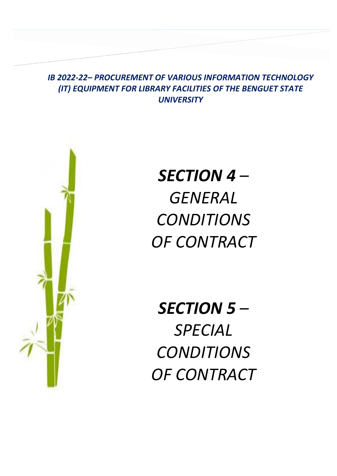# *IB 2022-22– PROCUREMENT OF VARIOUS INFORMATION TECHNOLOGY (IT) EQUIPMENT FOR LIBRARY FACILITIES OF THE BENGUET STATE UNIVERSITY*

**SECTION IV – GENERAL CONDITIONS OF** 



*SECTION 4 – GENERAL CONDITIONS OF CONTRACT*

*SECTION 5 – SPECIAL CONDITIONS OF CONTRACT*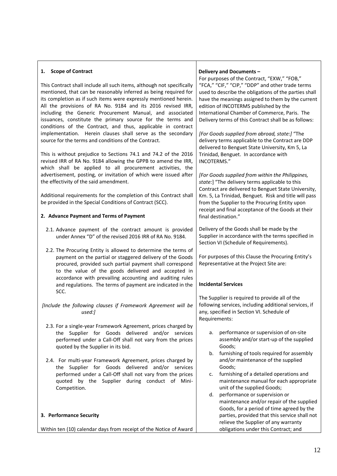### **1. Scope of Contract**

This Contract shall include all such items, although not specifically mentioned, that can be reasonably inferred as being required for its completion as if such items were expressly mentioned herein. All the provisions of RA No. 9184 and its 2016 revised IRR, including the Generic Procurement Manual, and associated issuances, constitute the primary source for the terms and conditions of the Contract, and thus, applicable in contract implementation. Herein clauses shall serve as the secondary source for the terms and conditions of the Contract.

This is without prejudice to Sections 74.1 and 74.2 of the 2016 revised IRR of RA No. 9184 allowing the GPPB to amend the IRR, which shall be applied to all procurement activities, the advertisement, posting, or invitation of which were issued after the effectivity of the said amendment.

Additional requirements for the completion of this Contract shall be provided in the Special Conditions of Contract (SCC).

# **2. Advance Payment and Terms of Payment**

- 2.1. Advance payment of the contract amount is provided under Annex "D" of the revised 2016 IRR of RA No. 9184.
- 2.2. The Procuring Entity is allowed to determine the terms of payment on the partial or staggered delivery of the Goods procured, provided such partial payment shall correspond to the value of the goods delivered and accepted in accordance with prevailing accounting and auditing rules and regulations. The terms of payment are indicated in the SCC.

*[Include the following clauses if Framework Agreement will be used:]* 

- 2.3. For a single-year Framework Agreement, prices charged by the Supplier for Goods delivered and/or services performed under a Call-Off shall not vary from the prices quoted by the Supplier in its bid.
- 2.4. For multi-year Framework Agreement, prices charged by the Supplier for Goods delivered and/or services performed under a Call-Off shall not vary from the prices quoted by the Supplier during conduct of Mini-Competition.

#### **3. Performance Security**

Within ten (10) calendar days from receipt of the Notice of Award

#### **Delivery and Documents –**

For purposes of the Contract, "EXW," "FOB," "FCA," "CIF," "CIP," "DDP" and other trade terms used to describe the obligations of the parties shall have the meanings assigned to them by the current edition of INCOTERMS published by the International Chamber of Commerce, Paris. The Delivery terms of this Contract shall be as follows:

*[For Goods supplied from abroad, state:]* "The delivery terms applicable to the Contract are DDP delivered to Benguet State University, Km 5, La Trinidad, Benguet. In accordance with INCOTERMS."

*[For Goods supplied from within the Philippines, state:*] "The delivery terms applicable to this Contract are delivered to Benguet State University, Km. 5, La Trinidad, Benguet*.* Risk and title will pass from the Supplier to the Procuring Entity upon receipt and final acceptance of the Goods at their final destination."

Delivery of the Goods shall be made by the Supplier in accordance with the terms specified in Section VI (Schedule of Requirements).

For purposes of this Clause the Procuring Entity's Representative at the Project Site are:

#### **Incidental Services**

The Supplier is required to provide all of the following services, including additional services, if any, specified in Section VI. Schedule of Requirements:

- a. performance or supervision of on-site assembly and/or start-up of the supplied Goods;
- b. furnishing of tools required for assembly and/or maintenance of the supplied Goods;
- c. furnishing of a detailed operations and maintenance manual for each appropriate unit of the supplied Goods;
- d. performance or supervision or maintenance and/or repair of the supplied Goods, for a period of time agreed by the parties, provided that this service shall not relieve the Supplier of any warranty obligations under this Contract; and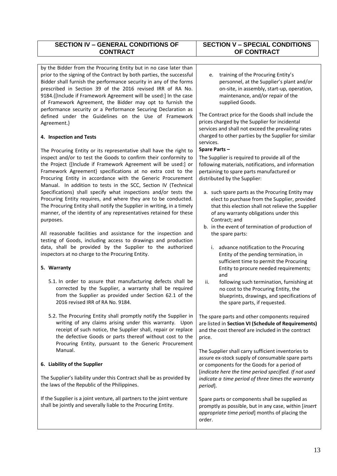# **SECTION IV – GENERAL CONDITIONS OF CONTRACT**

by the Bidder from the Procuring Entity but in no case later than prior to the signing of the Contract by both parties, the successful Bidder shall furnish the performance security in any of the forms prescribed in Section 39 of the 2016 revised IRR of RA No. 9184.{[Include if Framework Agreement will be used:] In the case of Framework Agreement, the Bidder may opt to furnish the performance security or a Performance Securing Declaration as defined under the Guidelines on the Use of Framework Agreement.}

# **4. Inspection and Tests**

The Procuring Entity or its representative shall have the right to inspect and/or to test the Goods to confirm their conformity to the Project {[Include if Framework Agreement will be used:] or Framework Agreement} specifications at no extra cost to the Procuring Entity in accordance with the Generic Procurement Manual. In addition to tests in the SCC, Section IV (Technical Specifications) shall specify what inspections and/or tests the Procuring Entity requires, and where they are to be conducted. The Procuring Entity shall notify the Supplier in writing, in a timely manner, of the identity of any representatives retained for these purposes.

All reasonable facilities and assistance for the inspection and testing of Goods, including access to drawings and production data, shall be provided by the Supplier to the authorized inspectors at no charge to the Procuring Entity.

# **5. Warranty**

- 5.1. In order to assure that manufacturing defects shall be corrected by the Supplier, a warranty shall be required from the Supplier as provided under Section 62.1 of the 2016 revised IRR of RA No. 9184.
- 5.2. The Procuring Entity shall promptly notify the Supplier in writing of any claims arising under this warranty. Upon receipt of such notice, the Supplier shall, repair or replace the defective Goods or parts thereof without cost to the Procuring Entity, pursuant to the Generic Procurement Manual.

# **6. Liability of the Supplier**

The Supplier's liability under this Contract shall be as provided by the laws of the Republic of the Philippines.

If the Supplier is a joint venture, all partners to the joint venture shall be jointly and severally liable to the Procuring Entity.

# **SECTION V – SPECIAL CONDITIONS OF CONTRACT**

e. training of the Procuring Entity's personnel, at the Supplier's plant and/or on-site, in assembly, start-up, operation, maintenance, and/or repair of the supplied Goods.

The Contract price for the Goods shall include the prices charged by the Supplier for incidental services and shall not exceed the prevailing rates charged to other parties by the Supplier for similar services.

# **Spare Parts –**

The Supplier is required to provide all of the following materials, notifications, and information pertaining to spare parts manufactured or distributed by the Supplier:

- a. such spare parts as the Procuring Entity may elect to purchase from the Supplier, provided that this election shall not relieve the Supplier of any warranty obligations under this Contract; and
- b. in the event of termination of production of the spare parts:
	- i. advance notification to the Procuring Entity of the pending termination, in sufficient time to permit the Procuring Entity to procure needed requirements; and
- ii. following such termination, furnishing at no cost to the Procuring Entity, the blueprints, drawings, and specifications of the spare parts, if requested.

The spare parts and other components required are listed in **Section VI (Schedule of Requirements)** and the cost thereof are included in the contract price.

The Supplier shall carry sufficient inventories to assure ex-stock supply of consumable spare parts or components for the Goods for a period of [*indicate here the time period specified. If not used indicate a time period of three times the warranty period*].

Spare parts or components shall be supplied as promptly as possible, but in any case, within [*insert appropriate time period*] months of placing the order.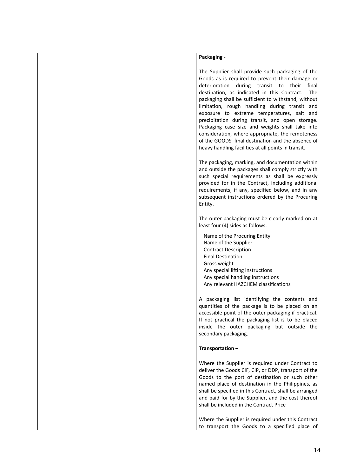| Packaging -                                                                                                                                                                                                                                                                                                                                                                                                                                                                                                                                                                                                                              |
|------------------------------------------------------------------------------------------------------------------------------------------------------------------------------------------------------------------------------------------------------------------------------------------------------------------------------------------------------------------------------------------------------------------------------------------------------------------------------------------------------------------------------------------------------------------------------------------------------------------------------------------|
| The Supplier shall provide such packaging of the<br>Goods as is required to prevent their damage or<br>deterioration during transit to their<br>final<br>destination, as indicated in this Contract.<br>The<br>packaging shall be sufficient to withstand, without<br>limitation, rough handling during transit and<br>exposure to extreme temperatures, salt and<br>precipitation during transit, and open storage.<br>Packaging case size and weights shall take into<br>consideration, where appropriate, the remoteness<br>of the GOODS' final destination and the absence of<br>heavy handling facilities at all points in transit. |
| The packaging, marking, and documentation within<br>and outside the packages shall comply strictly with<br>such special requirements as shall be expressly<br>provided for in the Contract, including additional<br>requirements, if any, specified below, and in any<br>subsequent instructions ordered by the Procuring<br>Entity.                                                                                                                                                                                                                                                                                                     |
| The outer packaging must be clearly marked on at<br>least four (4) sides as follows:                                                                                                                                                                                                                                                                                                                                                                                                                                                                                                                                                     |
| Name of the Procuring Entity<br>Name of the Supplier<br><b>Contract Description</b><br><b>Final Destination</b><br>Gross weight<br>Any special lifting instructions<br>Any special handling instructions<br>Any relevant HAZCHEM classifications                                                                                                                                                                                                                                                                                                                                                                                         |
| A packaging list identifying the contents and<br>quantities of the package is to be placed on an<br>accessible point of the outer packaging if practical.<br>If not practical the packaging list is to be placed<br>inside the outer packaging but outside the<br>secondary packaging.                                                                                                                                                                                                                                                                                                                                                   |
| Transportation-                                                                                                                                                                                                                                                                                                                                                                                                                                                                                                                                                                                                                          |
| Where the Supplier is required under Contract to<br>deliver the Goods CIF, CIP, or DDP, transport of the<br>Goods to the port of destination or such other<br>named place of destination in the Philippines, as<br>shall be specified in this Contract, shall be arranged<br>and paid for by the Supplier, and the cost thereof<br>shall be included in the Contract Price                                                                                                                                                                                                                                                               |
| Where the Supplier is required under this Contract<br>to transport the Goods to a specified place of                                                                                                                                                                                                                                                                                                                                                                                                                                                                                                                                     |